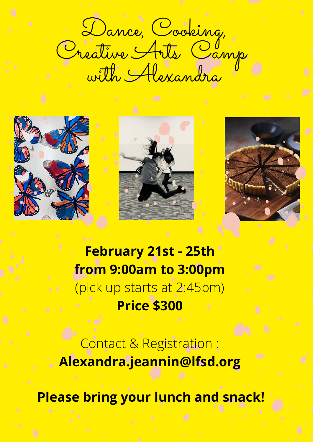Dance, Cooking, Creative Arts Camp with Alexandra







**February 21st - 25th from 9:00am to 3:00pm** (pick up starts at 2:45pm) **Price \$300**

Contact & Registration : **Alexandra.jeannin@lfsd.org**

**Please bring your lunch and snack!**